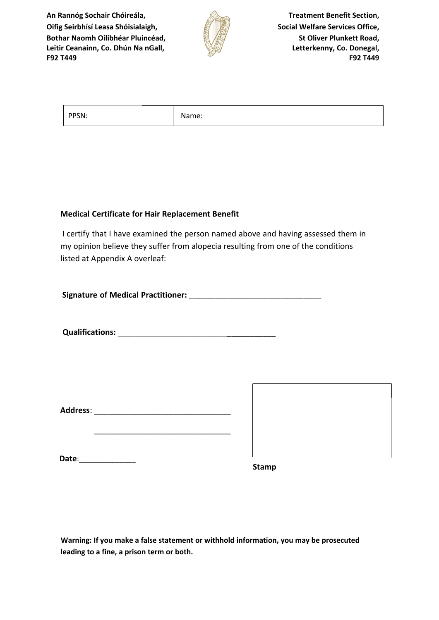**An Rannóg Sochair Chóireála, Oifig Seirbhísí Leasa Shóisialaigh, Bothar Naomh Oilibhéar Pluincéad, Leitir Ceanainn, Co. Dhún Na nGall, F92 T449**



**Treatment Benefit Section, Social Welfare Services Office, St Oliver Plunkett Road, Letterkenny, Co. Donegal, F92 T449**

| $P = 500$<br>VSN. | $\sim$<br>$\sim$ $\sim$ $\sim$ $\sim$<br>ivame: |
|-------------------|-------------------------------------------------|
|-------------------|-------------------------------------------------|

## **Medical Certificate for Hair Replacement Benefit**

I certify that I have examined the person named above and having assessed them in my opinion believe they suffer from alopecia resulting from one of the conditions listed at Appendix A overleaf:

**Signature of Medical Practitioner:** \_\_\_\_\_\_\_\_\_\_\_\_\_\_\_\_\_\_\_\_\_\_\_\_\_\_\_\_\_\_

**Qualifications:** \_\_\_\_\_\_\_\_\_\_\_\_\_\_\_\_\_\_\_\_\_\_\_\_\_\_\_\_\_\_\_\_\_\_\_\_

**Address**: \_\_\_\_\_\_\_\_\_\_\_\_\_\_\_\_\_\_\_\_\_\_\_\_\_\_\_\_\_\_\_

\_\_\_\_\_\_\_\_\_\_\_\_\_\_\_\_\_\_\_\_\_\_\_\_\_\_\_\_\_\_\_

**Date**:\_\_\_\_\_\_\_\_\_\_\_\_\_\_

**Stamp**

**Warning: If you make a false statement or withhold information, you may be prosecuted leading to a fine, a prison term or both.**